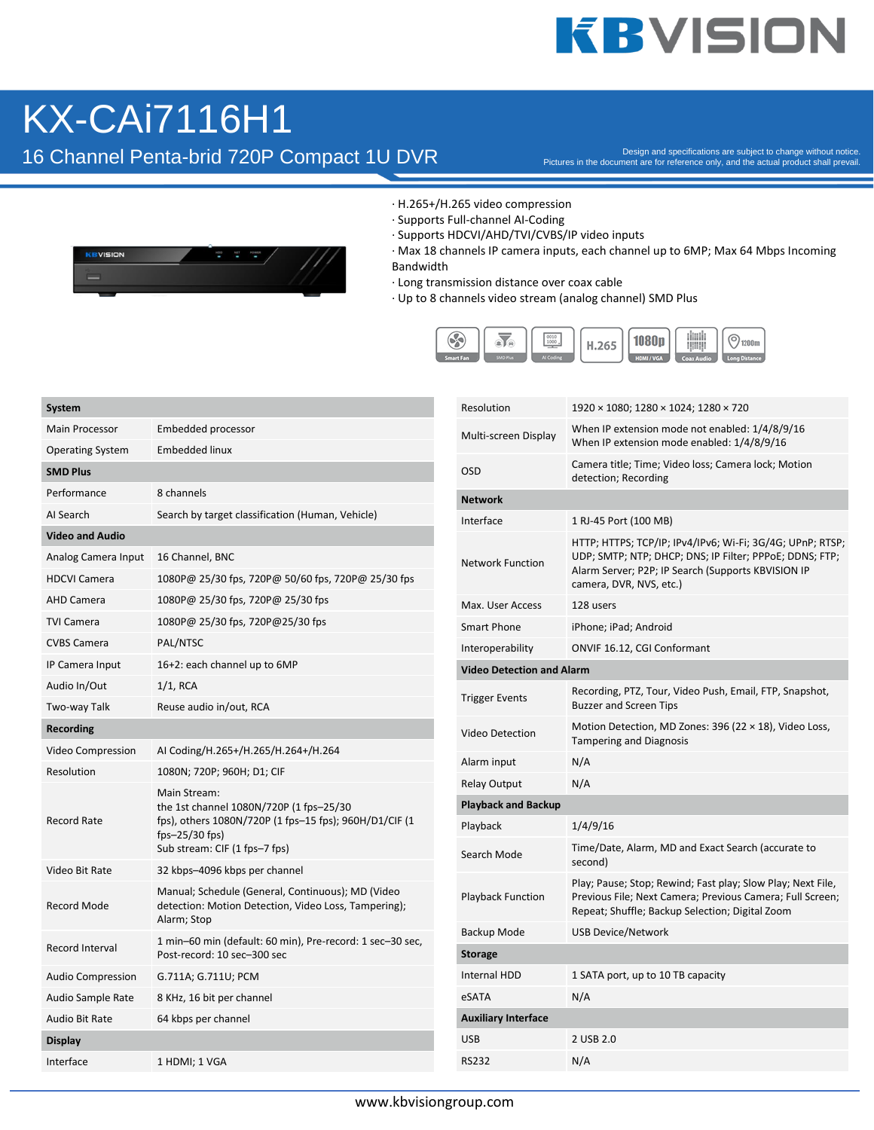## **KBVISION**

### KX-CAi7116H1

16 Channel Penta-brid 720P Compact 1U DVR

Pictures in the document are for reference only, and the actual product shall prevail.



- · H.265+/H.265 video compression
- · Supports Full-channel AI-Coding
- · Supports HDCVI/AHD/TVI/CVBS/IP video inputs
- · Max 18 channels IP camera inputs, each channel up to 6MP; Max 64 Mbps Incoming Bandwidth
- · Long transmission distance over coax cable
- · Up to 8 channels video stream (analog channel) SMD Plus



| <b>System</b>            |                                                                                                                                                                         |  |  |  |  |  |
|--------------------------|-------------------------------------------------------------------------------------------------------------------------------------------------------------------------|--|--|--|--|--|
| <b>Main Processor</b>    | Embedded processor                                                                                                                                                      |  |  |  |  |  |
| <b>Operating System</b>  | <b>Embedded linux</b>                                                                                                                                                   |  |  |  |  |  |
| <b>SMD Plus</b>          |                                                                                                                                                                         |  |  |  |  |  |
| Performance              | 8 channels                                                                                                                                                              |  |  |  |  |  |
| AI Search                | Search by target classification (Human, Vehicle)                                                                                                                        |  |  |  |  |  |
| <b>Video and Audio</b>   |                                                                                                                                                                         |  |  |  |  |  |
| Analog Camera Input      | 16 Channel, BNC                                                                                                                                                         |  |  |  |  |  |
| <b>HDCVI Camera</b>      | 1080P@ 25/30 fps, 720P@ 50/60 fps, 720P@ 25/30 fps                                                                                                                      |  |  |  |  |  |
| <b>AHD Camera</b>        | 1080P@ 25/30 fps, 720P@ 25/30 fps                                                                                                                                       |  |  |  |  |  |
| TVI Camera               | 1080P@ 25/30 fps, 720P@25/30 fps                                                                                                                                        |  |  |  |  |  |
| <b>CVBS Camera</b>       | PAL/NTSC                                                                                                                                                                |  |  |  |  |  |
| IP Camera Input          | 16+2: each channel up to 6MP                                                                                                                                            |  |  |  |  |  |
| Audio In/Out             | $1/1$ , RCA                                                                                                                                                             |  |  |  |  |  |
| Two-way Talk             | Reuse audio in/out, RCA                                                                                                                                                 |  |  |  |  |  |
| <b>Recording</b>         |                                                                                                                                                                         |  |  |  |  |  |
| Video Compression        | AI Coding/H.265+/H.265/H.264+/H.264                                                                                                                                     |  |  |  |  |  |
| Resolution               | 1080N; 720P; 960H; D1; CIF                                                                                                                                              |  |  |  |  |  |
| <b>Record Rate</b>       | Main Stream:<br>the 1st channel 1080N/720P (1 fps-25/30<br>fps), others 1080N/720P (1 fps-15 fps); 960H/D1/CIF (1<br>fps- $25/30$ fps)<br>Sub stream: CIF (1 fps-7 fps) |  |  |  |  |  |
| Video Bit Rate           | 32 kbps-4096 kbps per channel                                                                                                                                           |  |  |  |  |  |
| <b>Record Mode</b>       | Manual; Schedule (General, Continuous); MD (Video<br>detection: Motion Detection, Video Loss, Tampering);<br>Alarm; Stop                                                |  |  |  |  |  |
| Record Interval          | 1 min-60 min (default: 60 min), Pre-record: 1 sec-30 sec,<br>Post-record: 10 sec-300 sec                                                                                |  |  |  |  |  |
| <b>Audio Compression</b> | G.711A; G.711U; PCM                                                                                                                                                     |  |  |  |  |  |
| Audio Sample Rate        | 8 KHz, 16 bit per channel                                                                                                                                               |  |  |  |  |  |
| Audio Bit Rate           | 64 kbps per channel                                                                                                                                                     |  |  |  |  |  |
| Display                  |                                                                                                                                                                         |  |  |  |  |  |
| Interface                | 1 HDMI; 1 VGA                                                                                                                                                           |  |  |  |  |  |

| Resolution                       | 1920 × 1080; 1280 × 1024; 1280 × 720                                                                                                                                                                  |
|----------------------------------|-------------------------------------------------------------------------------------------------------------------------------------------------------------------------------------------------------|
| Multi-screen Display             | When IP extension mode not enabled: 1/4/8/9/16<br>When IP extension mode enabled: 1/4/8/9/16                                                                                                          |
| OSD                              | Camera title; Time; Video loss; Camera lock; Motion<br>detection; Recording                                                                                                                           |
| <b>Network</b>                   |                                                                                                                                                                                                       |
| Interface                        | 1 RJ-45 Port (100 MB)                                                                                                                                                                                 |
| <b>Network Function</b>          | HTTP; HTTPS; TCP/IP; IPv4/IPv6; Wi-Fi; 3G/4G; UPnP; RTSP;<br>UDP; SMTP; NTP; DHCP; DNS; IP Filter; PPPoE; DDNS; FTP;<br>Alarm Server; P2P; IP Search (Supports KBVISION IP<br>camera, DVR, NVS, etc.) |
| Max. User Access                 | 128 users                                                                                                                                                                                             |
| <b>Smart Phone</b>               | iPhone; iPad; Android                                                                                                                                                                                 |
| Interoperability                 | ONVIF 16.12, CGI Conformant                                                                                                                                                                           |
| <b>Video Detection and Alarm</b> |                                                                                                                                                                                                       |
| <b>Trigger Events</b>            | Recording, PTZ, Tour, Video Push, Email, FTP, Snapshot,<br><b>Buzzer and Screen Tips</b>                                                                                                              |
| Video Detection                  | Motion Detection, MD Zones: 396 (22 $\times$ 18), Video Loss,<br><b>Tampering and Diagnosis</b>                                                                                                       |
| Alarm input                      | N/A                                                                                                                                                                                                   |
| <b>Relay Output</b>              | N/A                                                                                                                                                                                                   |
| <b>Playback and Backup</b>       |                                                                                                                                                                                                       |
| Playback                         | 1/4/9/16                                                                                                                                                                                              |
| Search Mode                      | Time/Date, Alarm, MD and Exact Search (accurate to<br>second)                                                                                                                                         |
| <b>Playback Function</b>         | Play; Pause; Stop; Rewind; Fast play; Slow Play; Next File,<br>Previous File; Next Camera; Previous Camera; Full Screen;<br>Repeat; Shuffle; Backup Selection; Digital Zoom                           |
| Backup Mode                      | <b>USB Device/Network</b>                                                                                                                                                                             |
| <b>Storage</b>                   |                                                                                                                                                                                                       |
| <b>Internal HDD</b>              | 1 SATA port, up to 10 TB capacity                                                                                                                                                                     |
| eSATA                            | N/A                                                                                                                                                                                                   |
| <b>Auxiliary Interface</b>       |                                                                                                                                                                                                       |
| USB                              | 2 USB 2.0                                                                                                                                                                                             |
| RS232                            | N/A                                                                                                                                                                                                   |